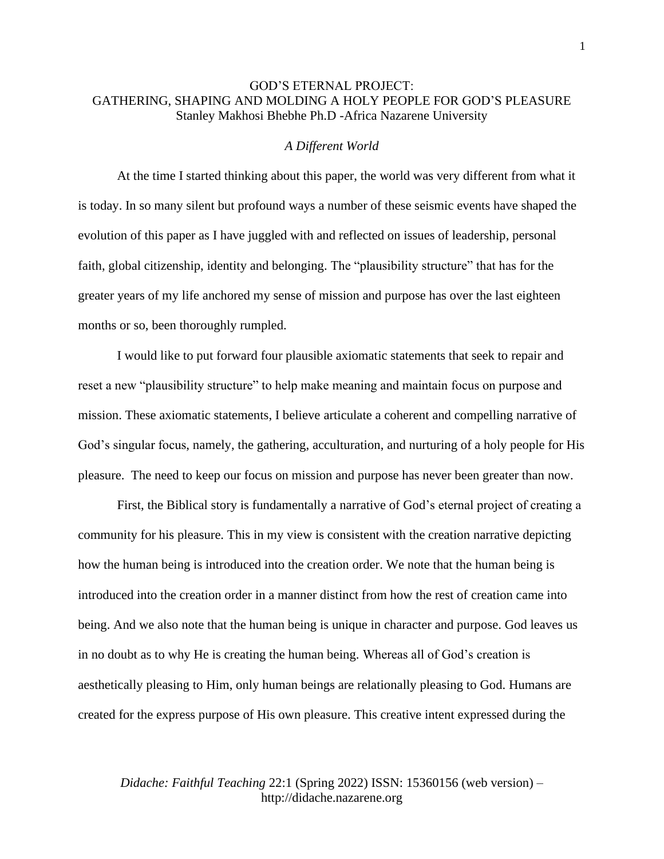## GOD'S ETERNAL PROJECT: GATHERING, SHAPING AND MOLDING A HOLY PEOPLE FOR GOD'S PLEASURE Stanley Makhosi Bhebhe Ph.D -Africa Nazarene University

## *A Different World*

At the time I started thinking about this paper, the world was very different from what it is today. In so many silent but profound ways a number of these seismic events have shaped the evolution of this paper as I have juggled with and reflected on issues of leadership, personal faith, global citizenship, identity and belonging. The "plausibility structure" that has for the greater years of my life anchored my sense of mission and purpose has over the last eighteen months or so, been thoroughly rumpled.

I would like to put forward four plausible axiomatic statements that seek to repair and reset a new "plausibility structure" to help make meaning and maintain focus on purpose and mission. These axiomatic statements, I believe articulate a coherent and compelling narrative of God's singular focus, namely, the gathering, acculturation, and nurturing of a holy people for His pleasure. The need to keep our focus on mission and purpose has never been greater than now.

First, the Biblical story is fundamentally a narrative of God's eternal project of creating a community for his pleasure. This in my view is consistent with the creation narrative depicting how the human being is introduced into the creation order. We note that the human being is introduced into the creation order in a manner distinct from how the rest of creation came into being. And we also note that the human being is unique in character and purpose. God leaves us in no doubt as to why He is creating the human being. Whereas all of God's creation is aesthetically pleasing to Him, only human beings are relationally pleasing to God. Humans are created for the express purpose of His own pleasure. This creative intent expressed during the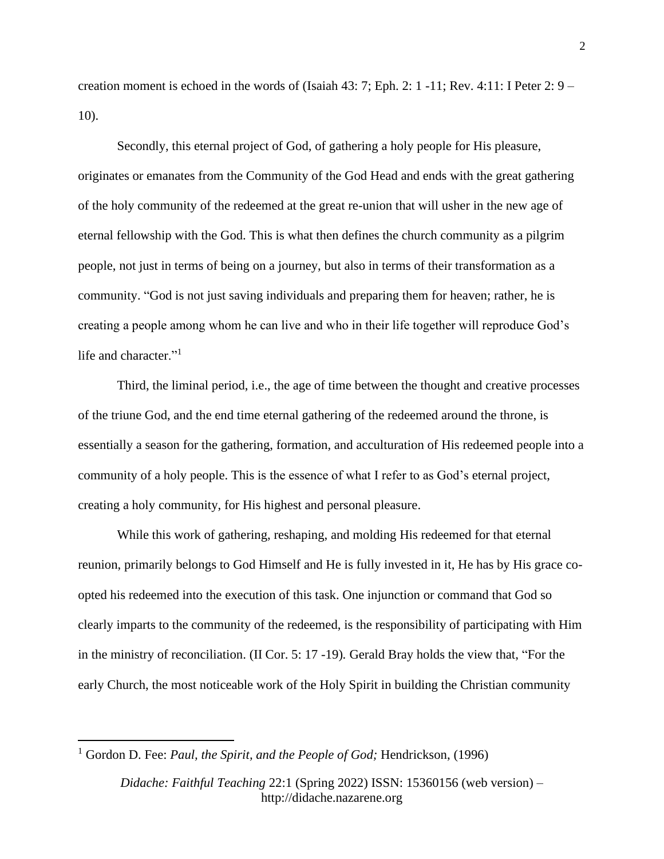creation moment is echoed in the words of (Isaiah  $43: 7$ ; Eph. 2: 1 -11; Rev. 4:11: I Peter 2: 9 – 10).

Secondly, this eternal project of God, of gathering a holy people for His pleasure, originates or emanates from the Community of the God Head and ends with the great gathering of the holy community of the redeemed at the great re-union that will usher in the new age of eternal fellowship with the God. This is what then defines the church community as a pilgrim people, not just in terms of being on a journey, but also in terms of their transformation as a community. "God is not just saving individuals and preparing them for heaven; rather, he is creating a people among whom he can live and who in their life together will reproduce God's life and character."<sup>1</sup>

Third, the liminal period, i.e., the age of time between the thought and creative processes of the triune God, and the end time eternal gathering of the redeemed around the throne, is essentially a season for the gathering, formation, and acculturation of His redeemed people into a community of a holy people. This is the essence of what I refer to as God's eternal project, creating a holy community, for His highest and personal pleasure.

While this work of gathering, reshaping, and molding His redeemed for that eternal reunion, primarily belongs to God Himself and He is fully invested in it, He has by His grace coopted his redeemed into the execution of this task. One injunction or command that God so clearly imparts to the community of the redeemed, is the responsibility of participating with Him in the ministry of reconciliation. (II Cor. 5: 17 -19)*.* Gerald Bray holds the view that, "For the early Church, the most noticeable work of the Holy Spirit in building the Christian community

<sup>1</sup> Gordon D. Fee: *Paul, the Spirit, and the People of God;* Hendrickson, (1996)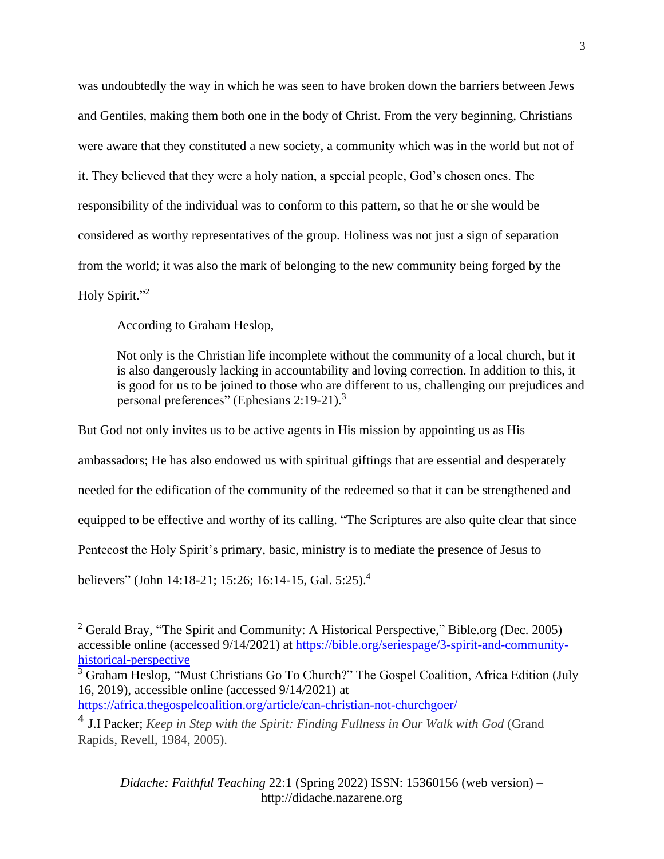was undoubtedly the way in which he was seen to have broken down the barriers between Jews and Gentiles, making them both one in the body of Christ. From the very beginning, Christians were aware that they constituted a new society, a community which was in the world but not of it. They believed that they were a holy nation, a special people, God's chosen ones. The responsibility of the individual was to conform to this pattern, so that he or she would be considered as worthy representatives of the group. Holiness was not just a sign of separation from the world; it was also the mark of belonging to the new community being forged by the Holy Spirit."<sup>2</sup>

According to Graham Heslop,

Not only is the Christian life incomplete without the community of a local church, but it is also dangerously lacking in accountability and loving correction. In addition to this, it is good for us to be joined to those who are different to us, challenging our prejudices and personal preferences" [\(Ephesians 2:19-21\)](https://www.esv.org/Ephesians%202%3A19-21/).<sup>3</sup>

But God not only invites us to be active agents in His mission by appointing us as His ambassadors; He has also endowed us with spiritual giftings that are essential and desperately needed for the edification of the community of the redeemed so that it can be strengthened and equipped to be effective and worthy of its calling. "The Scriptures are also quite clear that since Pentecost the Holy Spirit's primary, basic, ministry is to mediate the presence of Jesus to believers" (John 14:18-21; 15:26; 16:14-15, Gal. 5:25).<sup>4</sup>

<sup>&</sup>lt;sup>2</sup> Gerald Bray, "The Spirit and Community: A Historical Perspective," Bible.org (Dec. 2005) accessible online (accessed 9/14/2021) at [https://bible.org/seriespage/3-spirit-and-community](https://bible.org/seriespage/3-spirit-and-community-historical-perspective)[historical-perspective](https://bible.org/seriespage/3-spirit-and-community-historical-perspective)

<sup>&</sup>lt;sup>3</sup> Graham Heslop, "Must Christians Go To Church?" The Gospel Coalition, Africa Edition (July 16, 2019), accessible online (accessed 9/14/2021) at <https://africa.thegospelcoalition.org/article/can-christian-not-churchgoer/>

<sup>4</sup> J.I Packer; *Keep in Step with the Spirit: Finding Fullness in Our Walk with God* (Grand Rapids, Revell, 1984, 2005).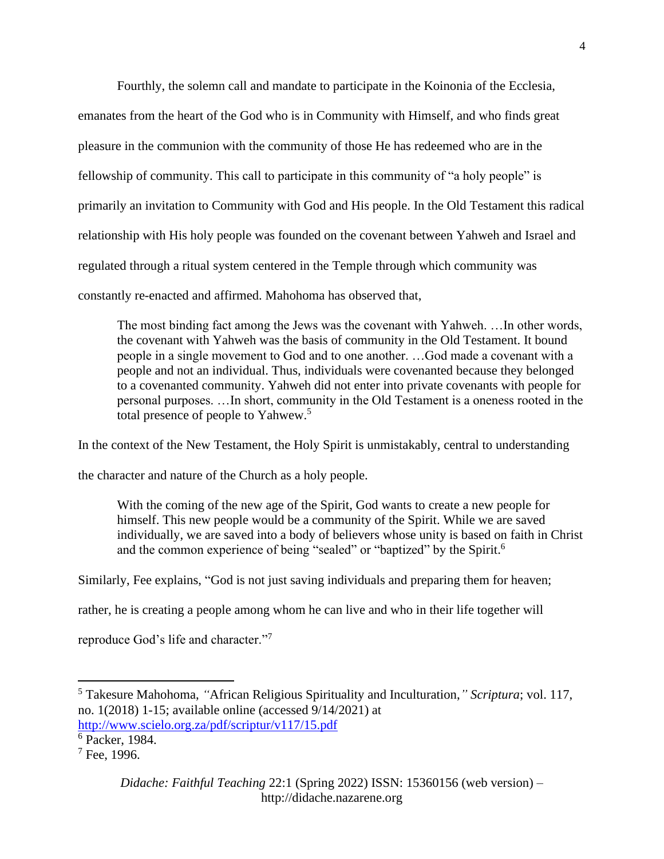Fourthly, the solemn call and mandate to participate in the Koinonia of the Ecclesia, emanates from the heart of the God who is in Community with Himself, and who finds great pleasure in the communion with the community of those He has redeemed who are in the fellowship of community. This call to participate in this community of "a holy people" is primarily an invitation to Community with God and His people. In the Old Testament this radical relationship with His holy people was founded on the covenant between Yahweh and Israel and regulated through a ritual system centered in the Temple through which community was constantly re-enacted and affirmed. Mahohoma has observed that,

The most binding fact among the Jews was the covenant with Yahweh. …In other words, the covenant with Yahweh was the basis of community in the Old Testament. It bound people in a single movement to God and to one another. …God made a covenant with a people and not an individual. Thus, individuals were covenanted because they belonged to a covenanted community. Yahweh did not enter into private covenants with people for personal purposes. …In short, community in the Old Testament is a oneness rooted in the total presence of people to Yahwew.<sup>5</sup>

In the context of the New Testament, the Holy Spirit is unmistakably, central to understanding

the character and nature of the Church as a holy people.

With the coming of the new age of the Spirit, God wants to create a new people for himself. This new people would be a community of the Spirit. While we are saved individually, we are saved into a body of believers whose unity is based on faith in Christ and the common experience of being "sealed" or "baptized" by the Spirit.<sup>6</sup>

Similarly, Fee explains, "God is not just saving individuals and preparing them for heaven;

rather, he is creating a people among whom he can live and who in their life together will

reproduce God's life and character."<sup>7</sup>

<sup>5</sup> Takesure Mahohoma, *"*African Religious Spirituality and Inculturation,*" Scriptura*; vol. 117, no. 1(2018) 1-15; available online (accessed 9/14/2021) at <http://www.scielo.org.za/pdf/scriptur/v117/15.pdf>

<sup>6</sup> Packer, 1984.

 $7$  Fee, 1996.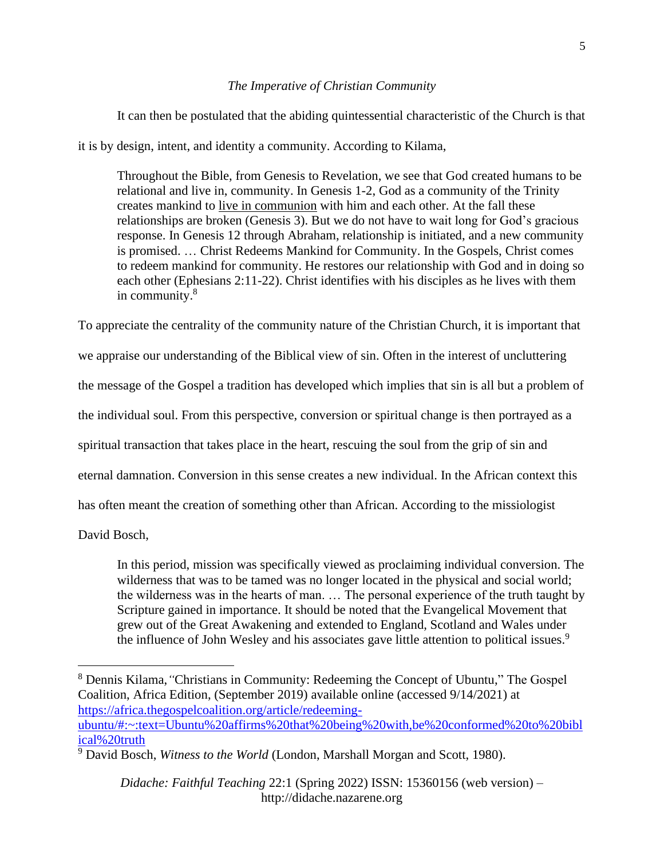## *The Imperative of Christian Community*

It can then be postulated that the abiding quintessential characteristic of the Church is that

it is by design, intent, and identity a community. According to Kilama,

Throughout the Bible, from Genesis to Revelation, we see that God created humans to be relational and live in, community. In [Genesis 1-2,](https://www.esv.org/Genesis%201-2/) God as a community of the Trinity creates mankind to [live in communion](https://africa.thegospelcoalition.org/article/do-you-belong/) with him and each other. At the fall these relationships are broken [\(Genesis 3\)](https://www.esv.org/Genesis%203/). But we do not have to wait long for God's gracious response. In [Genesis 12](https://www.esv.org/Genesis%2012/) through Abraham, relationship is initiated, and a new community is promised. … Christ Redeems Mankind for Community. In the Gospels, Christ comes to redeem mankind for community. He restores our relationship with God and in doing so each other [\(Ephesians 2:11-22\)](https://www.esv.org/Ephesians%202%3A11-22/). Christ identifies with his disciples as he lives with them in community. 8

To appreciate the centrality of the community nature of the Christian Church, it is important that we appraise our understanding of the Biblical view of sin. Often in the interest of uncluttering the message of the Gospel a tradition has developed which implies that sin is all but a problem of the individual soul. From this perspective, conversion or spiritual change is then portrayed as a spiritual transaction that takes place in the heart, rescuing the soul from the grip of sin and eternal damnation. Conversion in this sense creates a new individual. In the African context this has often meant the creation of something other than African. According to the missiologist

David Bosch,

In this period, mission was specifically viewed as proclaiming individual conversion. The wilderness that was to be tamed was no longer located in the physical and social world; the wilderness was in the hearts of man. … The personal experience of the truth taught by Scripture gained in importance. It should be noted that the Evangelical Movement that grew out of the Great Awakening and extended to England, Scotland and Wales under the influence of John Wesley and his associates gave little attention to political issues.<sup>9</sup>

<sup>8</sup> Dennis Kilama,*"*Christians in Community: Redeeming the Concept of Ubuntu," The Gospel Coalition, Africa Edition, (September 2019) available online (accessed 9/14/2021) at [https://africa.thegospelcoalition.org/article/redeeming](https://africa.thegospelcoalition.org/article/redeeming-ubuntu/#:~:text=Ubuntu%20affirms%20that%20being%20with,be%20conformed%20to%20biblical%20truth)[ubuntu/#:~:text=Ubuntu%20affirms%20that%20being%20with,be%20conformed%20to%20bibl](https://africa.thegospelcoalition.org/article/redeeming-ubuntu/#:~:text=Ubuntu%20affirms%20that%20being%20with,be%20conformed%20to%20biblical%20truth) [ical%20truth](https://africa.thegospelcoalition.org/article/redeeming-ubuntu/#:~:text=Ubuntu%20affirms%20that%20being%20with,be%20conformed%20to%20biblical%20truth)

<sup>9</sup> David Bosch, *Witness to the World* (London, Marshall Morgan and Scott, 1980).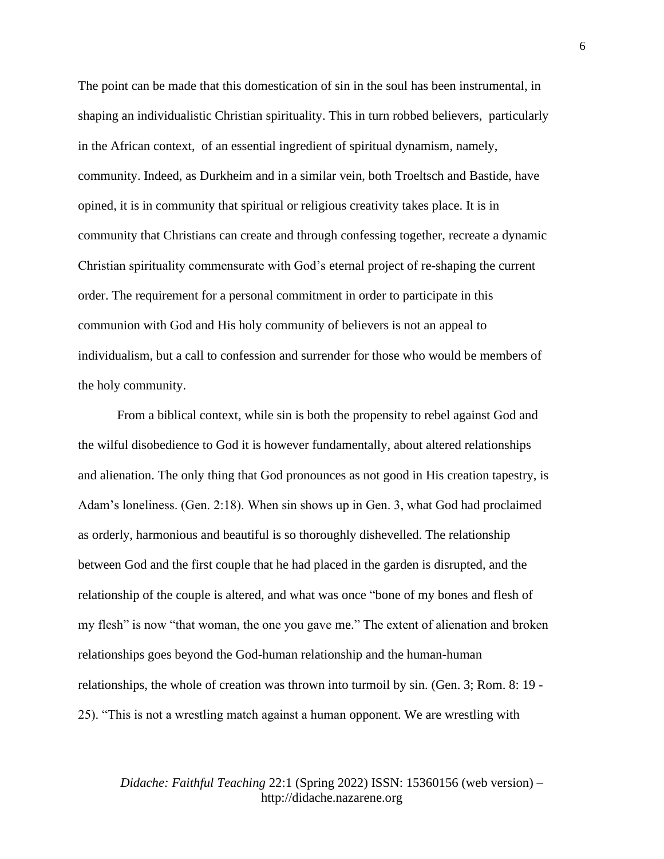The point can be made that this domestication of sin in the soul has been instrumental, in shaping an individualistic Christian spirituality. This in turn robbed believers, particularly in the African context, of an essential ingredient of spiritual dynamism, namely, community. Indeed, as Durkheim and in a similar vein, both Troeltsch and Bastide, have opined, it is in community that spiritual or religious creativity takes place. It is in community that Christians can create and through confessing together, recreate a dynamic Christian spirituality commensurate with God's eternal project of re-shaping the current order. The requirement for a personal commitment in order to participate in this communion with God and His holy community of believers is not an appeal to individualism, but a call to confession and surrender for those who would be members of the holy community.

From a biblical context, while sin is both the propensity to rebel against God and the wilful disobedience to God it is however fundamentally, about altered relationships and alienation. The only thing that God pronounces as not good in His creation tapestry, is Adam's loneliness. (Gen. 2:18). When sin shows up in Gen. 3, what God had proclaimed as orderly, harmonious and beautiful is so thoroughly dishevelled. The relationship between God and the first couple that he had placed in the garden is disrupted, and the relationship of the couple is altered, and what was once "bone of my bones and flesh of my flesh" is now "that woman, the one you gave me." The extent of alienation and broken relationships goes beyond the God-human relationship and the human-human relationships, the whole of creation was thrown into turmoil by sin. (Gen. 3; Rom. 8: 19 - 25). "This is not a wrestling match against a human opponent. We are wrestling with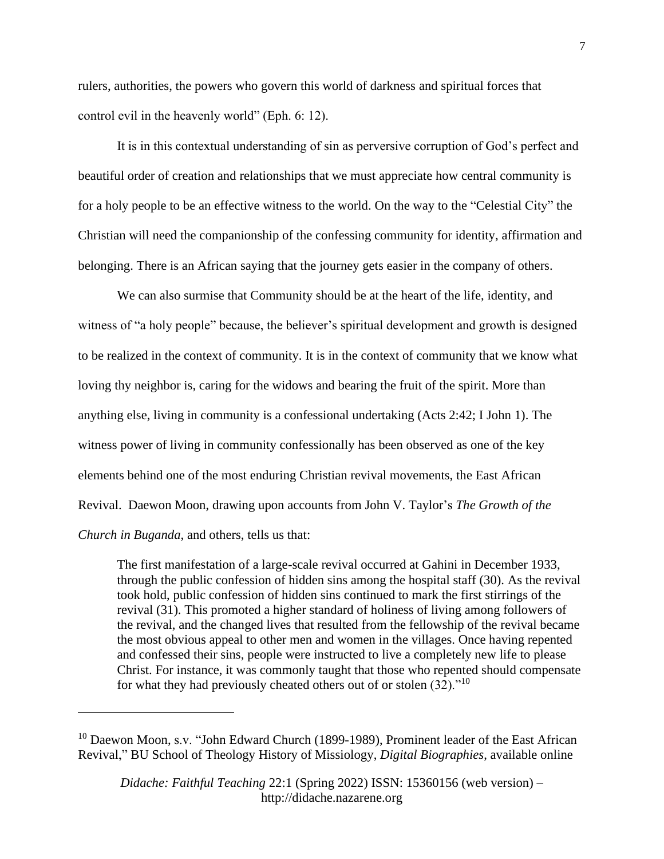rulers, authorities, the powers who govern this world of darkness and spiritual forces that control evil in the heavenly world" (Eph. 6: 12).

It is in this contextual understanding of sin as perversive corruption of God's perfect and beautiful order of creation and relationships that we must appreciate how central community is for a holy people to be an effective witness to the world. On the way to the "Celestial City" the Christian will need the companionship of the confessing community for identity, affirmation and belonging. There is an African saying that the journey gets easier in the company of others.

We can also surmise that Community should be at the heart of the life, identity, and witness of "a holy people" because, the believer's spiritual development and growth is designed to be realized in the context of community. It is in the context of community that we know what loving thy neighbor is, caring for the widows and bearing the fruit of the spirit. More than anything else, living in community is a confessional undertaking (Acts 2:42; I John 1). The witness power of living in community confessionally has been observed as one of the key elements behind one of the most enduring Christian revival movements, the East African Revival. Daewon Moon, drawing upon accounts from John V. Taylor's *The Growth of the Church in Buganda*, and others, tells us that:

The first manifestation of a large-scale revival occurred at Gahini in December 1933, through the public confession of hidden sins among the hospital staff (30). As the revival took hold, public confession of hidden sins continued to mark the first stirrings of the revival (31). This promoted a higher standard of holiness of living among followers of the revival, and the changed lives that resulted from the fellowship of the revival became the most obvious appeal to other men and women in the villages. Once having repented and confessed their sins, people were instructed to live a completely new life to please Christ. For instance, it was commonly taught that those who repented should compensate for what they had previously cheated others out of or stolen (32)."<sup>10</sup>

<sup>&</sup>lt;sup>10</sup> Daewon Moon, s.v. "John Edward Church (1899-1989), Prominent leader of the East African Revival," BU [School of Theology History of Missiology,](https://www.bu.edu/missiology/) *Digital Biographies*, available online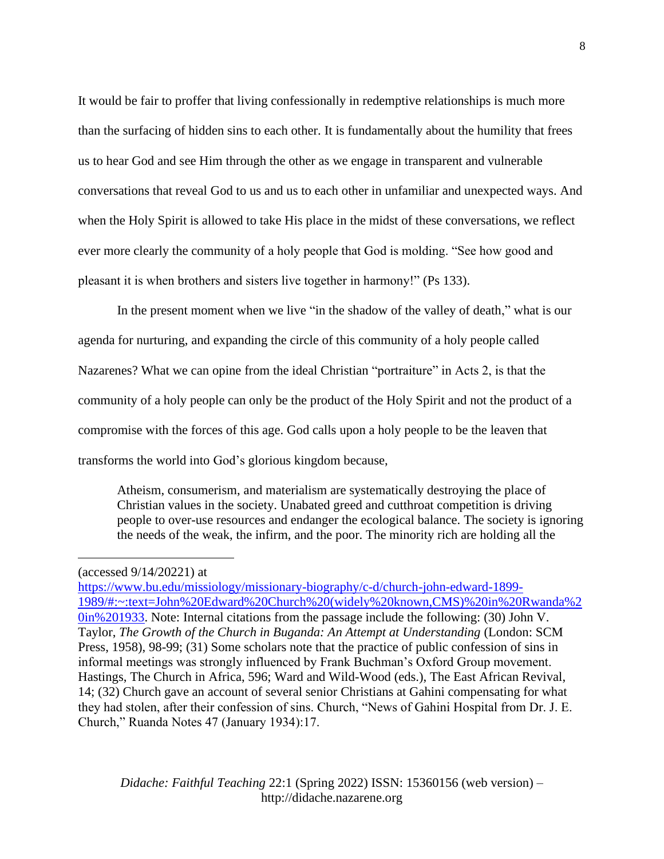It would be fair to proffer that living confessionally in redemptive relationships is much more than the surfacing of hidden sins to each other. It is fundamentally about the humility that frees us to hear God and see Him through the other as we engage in transparent and vulnerable conversations that reveal God to us and us to each other in unfamiliar and unexpected ways. And when the Holy Spirit is allowed to take His place in the midst of these conversations, we reflect ever more clearly the community of a holy people that God is molding. "See how good and pleasant it is when brothers and sisters live together in harmony!" (Ps 133).

In the present moment when we live "in the shadow of the valley of death," what is our agenda for nurturing, and expanding the circle of this community of a holy people called Nazarenes? What we can opine from the ideal Christian "portraiture" in Acts 2, is that the community of a holy people can only be the product of the Holy Spirit and not the product of a compromise with the forces of this age. God calls upon a holy people to be the leaven that transforms the world into God's glorious kingdom because,

Atheism, consumerism, and materialism are systematically destroying the place of Christian values in the society. Unabated greed and cutthroat competition is driving people to over-use resources and endanger the ecological balance. The society is ignoring the needs of the weak, the infirm, and the poor. The minority rich are holding all the

(accessed 9/14/20221) at

[https://www.bu.edu/missiology/missionary-biography/c-d/church-john-edward-1899-](https://www.bu.edu/missiology/missionary-biography/c-d/church-john-edward-1899-1989/#:~:text=John%20Edward%20Church%20(widely%20known,CMS)%20in%20Rwanda%20in%201933) [1989/#:~:text=John%20Edward%20Church%20\(widely%20known,CMS\)%20in%20Rwanda%2](https://www.bu.edu/missiology/missionary-biography/c-d/church-john-edward-1899-1989/#:~:text=John%20Edward%20Church%20(widely%20known,CMS)%20in%20Rwanda%20in%201933) [0in%201933.](https://www.bu.edu/missiology/missionary-biography/c-d/church-john-edward-1899-1989/#:~:text=John%20Edward%20Church%20(widely%20known,CMS)%20in%20Rwanda%20in%201933) Note: Internal citations from the passage include the following: (30) John V. Taylor, *The Growth of the Church in Buganda: An Attempt at Understanding* (London: SCM Press, 1958), 98-99; (31) Some scholars note that the practice of public confession of sins in informal meetings was strongly influenced by Frank Buchman's Oxford Group movement. Hastings, The Church in Africa, 596; Ward and Wild-Wood (eds.), The East African Revival, 14; (32) Church gave an account of several senior Christians at Gahini compensating for what they had stolen, after their confession of sins. Church, "News of Gahini Hospital from Dr. J. E. Church," Ruanda Notes 47 (January 1934):17.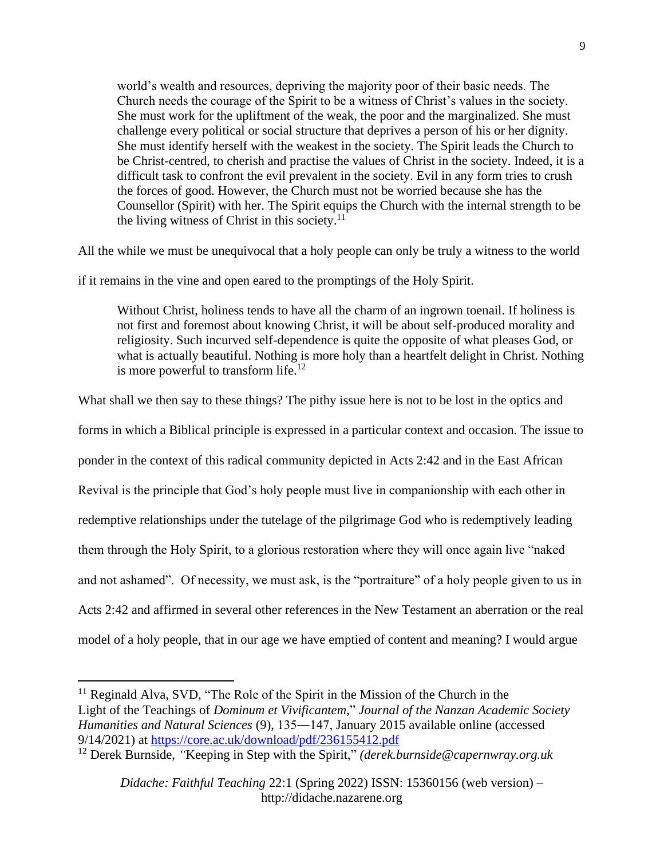world's wealth and resources, depriving the majority poor of their basic needs. The Church needs the courage of the Spirit to be a witness of Christ's values in the society. She must work for the upliftment of the weak, the poor and the marginalized. She must challenge every political or social structure that deprives a person of his or her dignity. She must identify herself with the weakest in the society. The Spirit leads the Church to be Christ-centred, to cherish and practise the values of Christ in the society. Indeed, it is a difficult task to confront the evil prevalent in the society. Evil in any form tries to crush the forces of good. However, the Church must not be worried because she has the Counsellor (Spirit) with her. The Spirit equips the Church with the internal strength to be the living witness of Christ in this society.<sup>11</sup>

All the while we must be unequivocal that a holy people can only be truly a witness to the world

if it remains in the vine and open eared to the promptings of the Holy Spirit.

Without Christ, holiness tends to have all the charm of an ingrown toenail. If holiness is not first and foremost about knowing Christ, it will be about self-produced morality and religiosity. Such incurved self-dependence is quite the opposite of what pleases God, or what is actually beautiful. Nothing is more holy than a heartfelt delight in Christ. Nothing is more powerful to transform life.<sup>12</sup>

What shall we then say to these things? The pithy issue here is not to be lost in the optics and forms in which a Biblical principle is expressed in a particular context and occasion. The issue to ponder in the context of this radical community depicted in Acts 2:42 and in the East African Revival is the principle that God's holy people must live in companionship with each other in redemptive relationships under the tutelage of the pilgrimage God who is redemptively leading them through the Holy Spirit, to a glorious restoration where they will once again live "naked and not ashamed". Of necessity, we must ask, is the "portraiture" of a holy people given to us in Acts 2:42 and affirmed in several other references in the New Testament an aberration or the real model of a holy people, that in our age we have emptied of content and meaning? I would argue

 $11$  Reginald Alva, SVD, "The Role of the Spirit in the Mission of the Church in the Light of the Teachings of *Dominum et Vivificantem*," *Journal of the Nanzan Academic Society Humanities and Natural Sciences* (9), 135―147, January 2015 available online (accessed 9/14/2021) at<https://core.ac.uk/download/pdf/236155412.pdf>

<sup>12</sup> Derek Burnside, *"*Keeping in Step with the Spirit," *(derek.burnside@capernwray.org.uk*